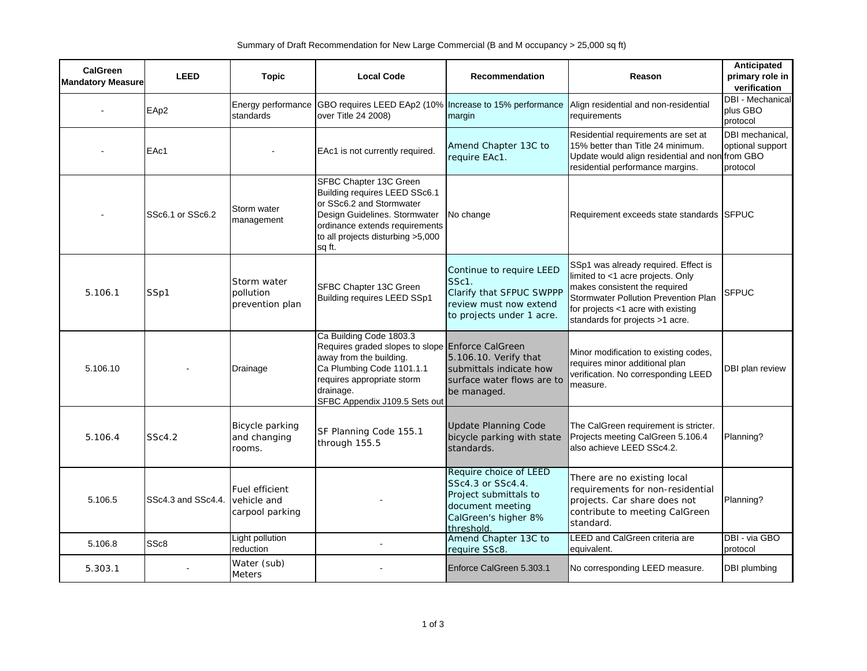| CalGreen<br><b>Mandatory Measure</b> | <b>LEED</b>        | <b>Topic</b>                                     | <b>Local Code</b>                                                                                                                                                                                               | Recommendation                                                                                                                 | Reason                                                                                                                                                                                                                      | Anticipated<br>primary role in<br>verification  |
|--------------------------------------|--------------------|--------------------------------------------------|-----------------------------------------------------------------------------------------------------------------------------------------------------------------------------------------------------------------|--------------------------------------------------------------------------------------------------------------------------------|-----------------------------------------------------------------------------------------------------------------------------------------------------------------------------------------------------------------------------|-------------------------------------------------|
|                                      | EAp2               | Energy performance<br>standards                  | GBO requires LEED EAp2 (10%   Increase to 15% performance<br>over Title 24 2008)                                                                                                                                | margin                                                                                                                         | Align residential and non-residential<br>requirements                                                                                                                                                                       | <b>DBI</b> - Mechanical<br>plus GBO<br>protocol |
|                                      | EAc1               |                                                  | EAc1 is not currently required.                                                                                                                                                                                 | Amend Chapter 13C to<br>require EAc1.                                                                                          | Residential requirements are set at<br>15% better than Title 24 minimum.<br>Update would align residential and non from GBO<br>residential performance margins.                                                             | DBI mechanical,<br>optional support<br>protocol |
|                                      | SSc6.1 or SSc6.2   | Storm water<br>management                        | SFBC Chapter 13C Green<br>Building requires LEED SSc6.1<br>or SSc6.2 and Stormwater<br>Design Guidelines. Stormwater<br>ordinance extends requirements<br>to all projects disturbing >5,000<br>sq ft.           | No change                                                                                                                      | Requirement exceeds state standards SFPUC                                                                                                                                                                                   |                                                 |
| 5.106.1                              | SSp1               | Storm water<br>pollution<br>prevention plan      | SFBC Chapter 13C Green<br>Building requires LEED SSp1                                                                                                                                                           | Continue to require LEED<br>SSc1.<br>Clarify that SFPUC SWPPP<br>review must now extend<br>to projects under 1 acre.           | SSp1 was already required. Effect is<br>limited to <1 acre projects. Only<br>makes consistent the required<br>Stormwater Pollution Prevention Plan<br>for projects <1 acre with existing<br>standards for projects >1 acre. | <b>SFPUC</b>                                    |
| 5.106.10                             |                    | Drainage                                         | Ca Building Code 1803.3<br>Requires graded slopes to slope Enforce CalGreen<br>away from the building.<br>Ca Plumbing Code 1101.1.1<br>requires appropriate storm<br>drainage.<br>SFBC Appendix J109.5 Sets out | 5.106.10. Verify that<br>submittals indicate how<br>surface water flows are to<br>be managed.                                  | Minor modification to existing codes,<br>requires minor additional plan<br>verification. No corresponding LEED<br>measure.                                                                                                  | DBI plan review                                 |
| 5.106.4                              | SSc4.2             | Bicycle parking<br>and changing<br>rooms.        | SF Planning Code 155.1<br>through 155.5                                                                                                                                                                         | <b>Update Planning Code</b><br>bicycle parking with state<br>standards.                                                        | The CalGreen requirement is stricter.<br>Projects meeting CalGreen 5.106.4<br>also achieve LEED SSc4.2.                                                                                                                     | Planning?                                       |
| 5.106.5                              | SSc4.3 and SSc4.4. | Fuel efficient<br>vehicle and<br>carpool parking |                                                                                                                                                                                                                 | Require choice of LEED<br>SSc4.3 or SSc4.4.<br>Project submittals to<br>document meeting<br>CalGreen's higher 8%<br>threshold. | There are no existing local<br>requirements for non-residential<br>projects. Car share does not<br>contribute to meeting CalGreen<br>standard.                                                                              | Planning?                                       |
| 5.106.8                              | SS <sub>c</sub> 8  | Light pollution<br>reduction                     |                                                                                                                                                                                                                 | Amend Chapter 13C to<br>require SSc8.                                                                                          | <b>LEED</b> and CalGreen criteria are<br>equivalent.                                                                                                                                                                        | DBI - via GBO<br>protocol                       |
| 5.303.1                              |                    | Water (sub)<br><b>Meters</b>                     |                                                                                                                                                                                                                 | Enforce CalGreen 5.303.1                                                                                                       | No corresponding LEED measure.                                                                                                                                                                                              | <b>DBI</b> plumbing                             |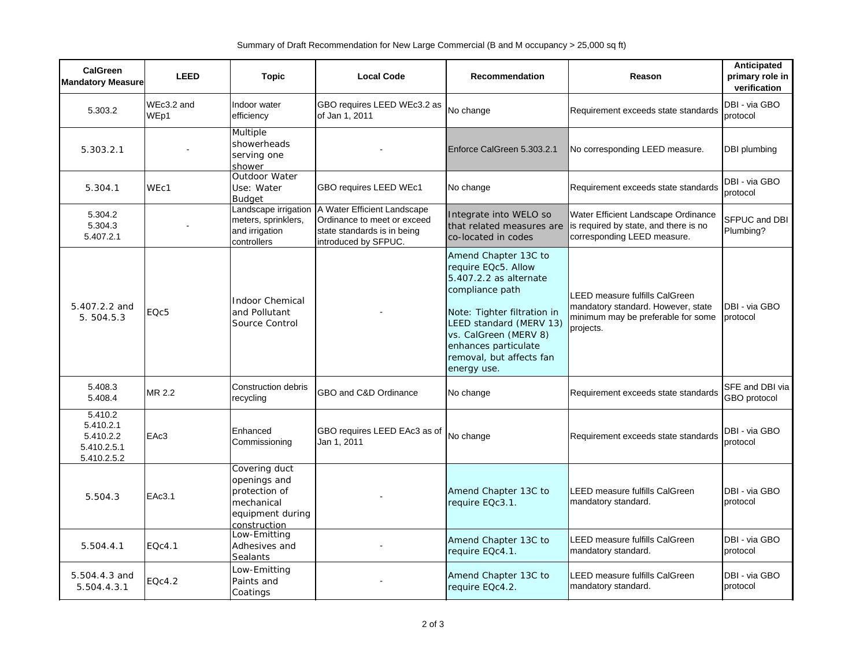| <b>CalGreen</b><br><b>Mandatory Measure</b>                     | <b>LEED</b>        | <b>Topic</b>                                                                                     | <b>Local Code</b>                                                                                                 | <b>Recommendation</b>                                                                                                                                                                                                                          | Reason                                                                                                                         | Anticipated<br>primary role in<br>verification |
|-----------------------------------------------------------------|--------------------|--------------------------------------------------------------------------------------------------|-------------------------------------------------------------------------------------------------------------------|------------------------------------------------------------------------------------------------------------------------------------------------------------------------------------------------------------------------------------------------|--------------------------------------------------------------------------------------------------------------------------------|------------------------------------------------|
| 5.303.2                                                         | WEc3.2 and<br>WEp1 | Indoor water<br>efficiency                                                                       | GBO requires LEED WEc3.2 as<br>of Jan 1, 2011                                                                     | No change                                                                                                                                                                                                                                      | Requirement exceeds state standards                                                                                            | DBI - via GBO<br>protocol                      |
| 5.303.2.1                                                       |                    | Multiple<br>showerheads<br>serving one<br>shower                                                 |                                                                                                                   | Enforce CalGreen 5.303.2.1                                                                                                                                                                                                                     | No corresponding LEED measure.                                                                                                 | DBI plumbing                                   |
| 5.304.1                                                         | WEc1               | Outdoor Water<br>Use: Water<br><b>Budaet</b>                                                     | GBO requires LEED WEc1                                                                                            | No change                                                                                                                                                                                                                                      | Requirement exceeds state standards                                                                                            | DBI - via GBO<br>protocol                      |
| 5.304.2<br>5.304.3<br>5.407.2.1                                 |                    | Landscape irrigation<br>meters, sprinklers,<br>and irrigation<br>controllers                     | A Water Efficient Landscape<br>Ordinance to meet or exceed<br>state standards is in being<br>introduced by SFPUC. | Integrate into WELO so<br>that related measures are<br>co-located in codes                                                                                                                                                                     | Water Efficient Landscape Ordinance<br>is required by state, and there is no<br>corresponding LEED measure.                    | SFPUC and DBI<br>Plumbing?                     |
| 5.407.2.2 and<br>5.504.5.3                                      | EQc5               | <b>Indoor Chemical</b><br>and Pollutant<br>Source Control                                        |                                                                                                                   | Amend Chapter 13C to<br>require EQc5. Allow<br>5.407.2.2 as alternate<br>compliance path<br>Note: Tighter filtration in<br>LEED standard (MERV 13)<br>vs. CalGreen (MERV 8)<br>enhances particulate<br>removal, but affects fan<br>energy use. | <b>LEED measure fulfills CalGreen</b><br>mandatory standard. However, state<br>minimum may be preferable for some<br>projects. | DBI - via GBO<br>protocol                      |
| 5.408.3<br>5.408.4                                              | MR 2.2             | Construction debris<br>recycling                                                                 | GBO and C&D Ordinance                                                                                             | No change                                                                                                                                                                                                                                      | Requirement exceeds state standards                                                                                            | SFE and DBI via<br><b>GBO</b> protocol         |
| 5.410.2<br>5.410.2.1<br>5.410.2.2<br>5.410.2.5.1<br>5.410.2.5.2 | EAc3               | Enhanced<br>Commissioning                                                                        | GBO requires LEED EAc3 as of<br>Jan 1, 2011                                                                       | No change                                                                                                                                                                                                                                      | Requirement exceeds state standards                                                                                            | DBI - via GBO<br>protocol                      |
| 5.504.3                                                         | EAc3.1             | Covering duct<br>openings and<br>protection of<br>mechanical<br>equipment during<br>construction |                                                                                                                   | Amend Chapter 13C to<br>require EQc3.1.                                                                                                                                                                                                        | LEED measure fulfills CalGreen<br>mandatory standard.                                                                          | DBI - via GBO<br>protocol                      |
| 5.504.4.1                                                       | EOc4.1             | Low-Emitting<br>Adhesives and<br><b>Sealants</b>                                                 |                                                                                                                   | Amend Chapter 13C to<br>require EQc4.1.                                                                                                                                                                                                        | LEED measure fulfills CalGreen<br>mandatory standard.                                                                          | DBI - via GBO<br>protocol                      |
| 5.504.4.3 and<br>5.504.4.3.1                                    | EQc4.2             | Low-Emitting<br>Paints and<br>Coatings                                                           |                                                                                                                   | Amend Chapter 13C to<br>require EQc4.2.                                                                                                                                                                                                        | LEED measure fulfills CalGreen<br>mandatory standard.                                                                          | DBI - via GBO<br>protocol                      |